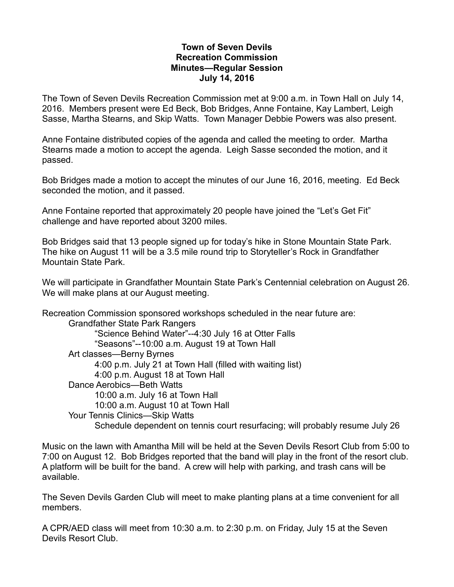## **Town of Seven Devils Recreation Commission Minutes—Regular Session July 14, 2016**

The Town of Seven Devils Recreation Commission met at 9:00 a.m. in Town Hall on July 14, 2016. Members present were Ed Beck, Bob Bridges, Anne Fontaine, Kay Lambert, Leigh Sasse, Martha Stearns, and Skip Watts. Town Manager Debbie Powers was also present.

Anne Fontaine distributed copies of the agenda and called the meeting to order. Martha Stearns made a motion to accept the agenda. Leigh Sasse seconded the motion, and it passed.

Bob Bridges made a motion to accept the minutes of our June 16, 2016, meeting. Ed Beck seconded the motion, and it passed.

Anne Fontaine reported that approximately 20 people have joined the "Let's Get Fit" challenge and have reported about 3200 miles.

Bob Bridges said that 13 people signed up for today's hike in Stone Mountain State Park. The hike on August 11 will be a 3.5 mile round trip to Storyteller's Rock in Grandfather Mountain State Park.

We will participate in Grandfather Mountain State Park's Centennial celebration on August 26. We will make plans at our August meeting.

Recreation Commission sponsored workshops scheduled in the near future are: Grandfather State Park Rangers "Science Behind Water"--4:30 July 16 at Otter Falls "Seasons"--10:00 a.m. August 19 at Town Hall Art classes—Berny Byrnes 4:00 p.m. July 21 at Town Hall (filled with waiting list) 4:00 p.m. August 18 at Town Hall Dance Aerobics—Beth Watts 10:00 a.m. July 16 at Town Hall 10:00 a.m. August 10 at Town Hall Your Tennis Clinics—Skip Watts Schedule dependent on tennis court resurfacing; will probably resume July 26

Music on the lawn with Amantha Mill will be held at the Seven Devils Resort Club from 5:00 to 7:00 on August 12. Bob Bridges reported that the band will play in the front of the resort club. A platform will be built for the band. A crew will help with parking, and trash cans will be available.

The Seven Devils Garden Club will meet to make planting plans at a time convenient for all members.

A CPR/AED class will meet from 10:30 a.m. to 2:30 p.m. on Friday, July 15 at the Seven Devils Resort Club.